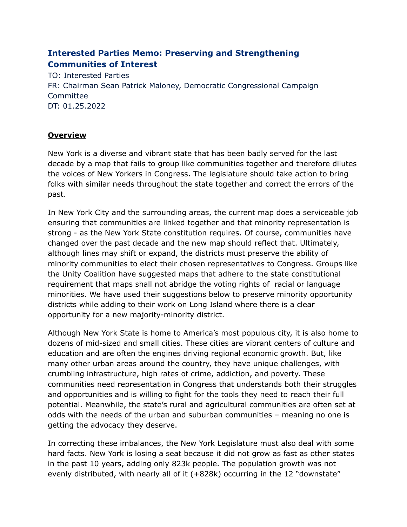# **Interested Parties Memo: Preserving and Strengthening Communities of Interest**

TO: Interested Parties FR: Chairman Sean Patrick Maloney, Democratic Congressional Campaign Committee DT: 01.25.2022

### **Overview**

New York is a diverse and vibrant state that has been badly served for the last decade by a map that fails to group like communities together and therefore dilutes the voices of New Yorkers in Congress. The legislature should take action to bring folks with similar needs throughout the state together and correct the errors of the past.

In New York City and the surrounding areas, the current map does a serviceable job ensuring that communities are linked together and that minority representation is strong - as the New York State constitution requires. Of course, communities have changed over the past decade and the new map should reflect that. Ultimately, although lines may shift or expand, the districts must preserve the ability of minority communities to elect their chosen representatives to Congress. Groups like the Unity Coalition have suggested maps that adhere to the state constitutional requirement that maps shall not abridge the voting rights of racial or language minorities. We have used their suggestions below to preserve minority opportunity districts while adding to their work on Long Island where there is a clear opportunity for a new majority-minority district.

Although New York State is home to America's most populous city, it is also home to dozens of mid-sized and small cities. These cities are vibrant centers of culture and education and are often the engines driving regional economic growth. But, like many other urban areas around the country, they have unique challenges, with crumbling infrastructure, high rates of crime, addiction, and poverty. These communities need representation in Congress that understands both their struggles and opportunities and is willing to fight for the tools they need to reach their full potential. Meanwhile, the state's rural and agricultural communities are often set at odds with the needs of the urban and suburban communities – meaning no one is getting the advocacy they deserve.

In correcting these imbalances, the New York Legislature must also deal with some hard facts. New York is losing a seat because it did not grow as fast as other states in the past 10 years, adding only 823k people. The population growth was not evenly distributed, with nearly all of it (+828k) occurring in the 12 "downstate"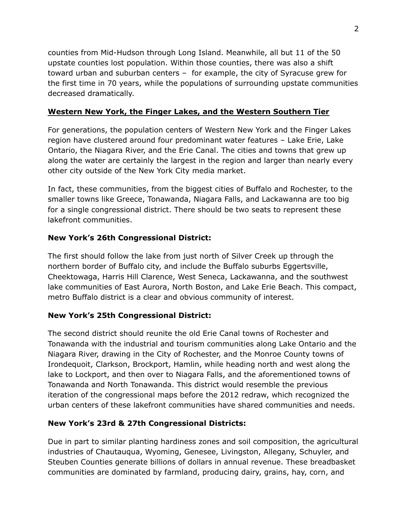counties from Mid-Hudson through Long Island. Meanwhile, all but 11 of the 50 upstate counties lost population. Within those counties, there was also a shift toward urban and suburban centers – for example, the city of Syracuse grew for the first time in 70 years, while the populations of surrounding upstate communities decreased dramatically.

# **Western New York, the Finger Lakes, and the Western Southern Tier**

For generations, the population centers of Western New York and the Finger Lakes region have clustered around four predominant water features – Lake Erie, Lake Ontario, the Niagara River, and the Erie Canal. The cities and towns that grew up along the water are certainly the largest in the region and larger than nearly every other city outside of the New York City media market.

In fact, these communities, from the biggest cities of Buffalo and Rochester, to the smaller towns like Greece, Tonawanda, Niagara Falls, and Lackawanna are too big for a single congressional district. There should be two seats to represent these lakefront communities.

# **New York's 26th Congressional District:**

The first should follow the lake from just north of Silver Creek up through the northern border of Buffalo city, and include the Buffalo suburbs Eggertsville, Cheektowaga, Harris Hill Clarence, West Seneca, Lackawanna, and the southwest lake communities of East Aurora, North Boston, and Lake Erie Beach. This compact, metro Buffalo district is a clear and obvious community of interest.

### **New York's 25th Congressional District:**

The second district should reunite the old Erie Canal towns of Rochester and Tonawanda with the industrial and tourism communities along Lake Ontario and the Niagara River, drawing in the City of Rochester, and the Monroe County towns of Irondequoit, Clarkson, Brockport, Hamlin, while heading north and west along the lake to Lockport, and then over to Niagara Falls, and the aforementioned towns of Tonawanda and North Tonawanda. This district would resemble the previous iteration of the congressional maps before the 2012 redraw, which recognized the urban centers of these lakefront communities have shared communities and needs.

### **New York's 23rd & 27th Congressional Districts:**

Due in part to similar planting hardiness zones and soil composition, the agricultural industries of Chautauqua, Wyoming, Genesee, Livingston, Allegany, Schuyler, and Steuben Counties generate billions of dollars in annual revenue. These breadbasket communities are dominated by farmland, producing dairy, grains, hay, corn, and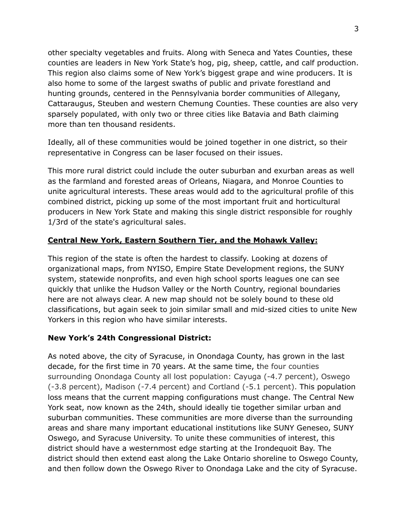other specialty vegetables and fruits. Along with Seneca and Yates Counties, these counties are leaders in New York State's hog, pig, sheep, cattle, and calf production. This region also claims some of New York's biggest grape and wine producers. It is also home to some of the largest swaths of public and private forestland and hunting grounds, centered in the Pennsylvania border communities of Allegany, Cattaraugus, Steuben and western Chemung Counties. These counties are also very sparsely populated, with only two or three cities like Batavia and Bath claiming more than ten thousand residents.

Ideally, all of these communities would be joined together in one district, so their representative in Congress can be laser focused on their issues.

This more rural district could include the outer suburban and exurban areas as well as the farmland and forested areas of Orleans, Niagara, and Monroe Counties to unite agricultural interests. These areas would add to the agricultural profile of this combined district, picking up some of the most important fruit and horticultural producers in New York State and making this single district responsible for roughly 1/3rd of the state's agricultural sales.

### **Central New York, Eastern Southern Tier, and the Mohawk Valley:**

This region of the state is often the hardest to classify. Looking at dozens of organizational maps, from NYISO, Empire State Development regions, the SUNY system, statewide nonprofits, and even high school sports leagues one can see quickly that unlike the Hudson Valley or the North Country, regional boundaries here are not always clear. A new map should not be solely bound to these old classifications, but again seek to join similar small and mid-sized cities to unite New Yorkers in this region who have similar interests.

#### **New York's 24th Congressional District:**

As noted above, the city of Syracuse, in Onondaga County, has grown in the last decade, for the first time in 70 years. At the same time, the four counties surrounding Onondaga County all lost population: Cayuga (-4.7 percent), Oswego (-3.8 percent), Madison (-7.4 percent) and Cortland (-5.1 percent). This population loss means that the current mapping configurations must change. The Central New York seat, now known as the 24th, should ideally tie together similar urban and suburban communities. These communities are more diverse than the surrounding areas and share many important educational institutions like SUNY Geneseo, SUNY Oswego, and Syracuse University. To unite these communities of interest, this district should have a westernmost edge starting at the Irondequoit Bay. The district should then extend east along the Lake Ontario shoreline to Oswego County, and then follow down the Oswego River to Onondaga Lake and the city of Syracuse.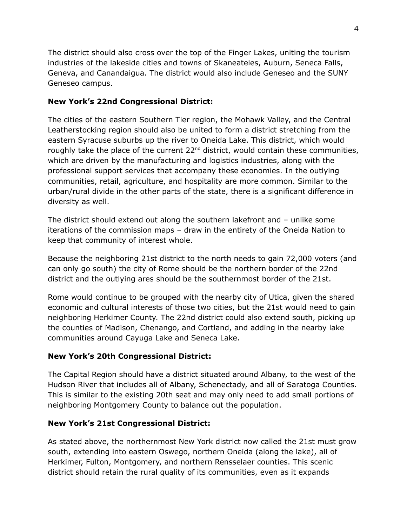The district should also cross over the top of the Finger Lakes, uniting the tourism industries of the lakeside cities and towns of Skaneateles, Auburn, Seneca Falls, Geneva, and Canandaigua. The district would also include Geneseo and the SUNY Geneseo campus.

### **New York's 22nd Congressional District:**

The cities of the eastern Southern Tier region, the Mohawk Valley, and the Central Leatherstocking region should also be united to form a district stretching from the eastern Syracuse suburbs up the river to Oneida Lake. This district, which would roughly take the place of the current  $22<sup>nd</sup>$  district, would contain these communities, which are driven by the manufacturing and logistics industries, along with the professional support services that accompany these economies. In the outlying communities, retail, agriculture, and hospitality are more common. Similar to the urban/rural divide in the other parts of the state, there is a significant difference in diversity as well.

The district should extend out along the southern lakefront and – unlike some iterations of the commission maps – draw in the entirety of the Oneida Nation to keep that community of interest whole.

Because the neighboring 21st district to the north needs to gain 72,000 voters (and can only go south) the city of Rome should be the northern border of the 22nd district and the outlying ares should be the southernmost border of the 21st.

Rome would continue to be grouped with the nearby city of Utica, given the shared economic and cultural interests of those two cities, but the 21st would need to gain neighboring Herkimer County. The 22nd district could also extend south, picking up the counties of Madison, Chenango, and Cortland, and adding in the nearby lake communities around Cayuga Lake and Seneca Lake.

### **New York's 20th Congressional District:**

The Capital Region should have a district situated around Albany, to the west of the Hudson River that includes all of Albany, Schenectady, and all of Saratoga Counties. This is similar to the existing 20th seat and may only need to add small portions of neighboring Montgomery County to balance out the population.

#### **New York's 21st Congressional District:**

As stated above, the northernmost New York district now called the 21st must grow south, extending into eastern Oswego, northern Oneida (along the lake), all of Herkimer, Fulton, Montgomery, and northern Rensselaer counties. This scenic district should retain the rural quality of its communities, even as it expands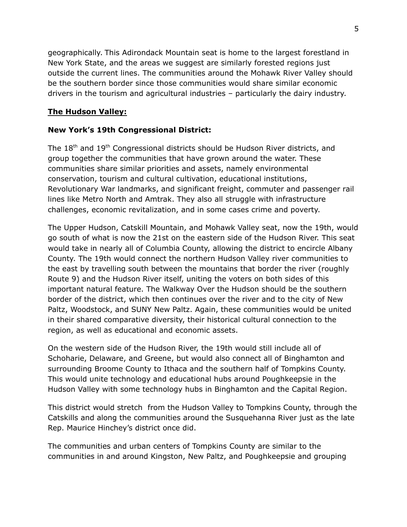geographically. This Adirondack Mountain seat is home to the largest forestland in New York State, and the areas we suggest are similarly forested regions just outside the current lines. The communities around the Mohawk River Valley should be the southern border since those communities would share similar economic drivers in the tourism and agricultural industries – particularly the dairy industry.

# **The Hudson Valley:**

#### **New York's 19th Congressional District:**

The 18<sup>th</sup> and 19<sup>th</sup> Congressional districts should be Hudson River districts, and group together the communities that have grown around the water. These communities share similar priorities and assets, namely environmental conservation, tourism and cultural cultivation, educational institutions, Revolutionary War landmarks, and significant freight, commuter and passenger rail lines like Metro North and Amtrak. They also all struggle with infrastructure challenges, economic revitalization, and in some cases crime and poverty.

The Upper Hudson, Catskill Mountain, and Mohawk Valley seat, now the 19th, would go south of what is now the 21st on the eastern side of the Hudson River. This seat would take in nearly all of Columbia County, allowing the district to encircle Albany County. The 19th would connect the northern Hudson Valley river communities to the east by travelling south between the mountains that border the river (roughly Route 9) and the Hudson River itself, uniting the voters on both sides of this important natural feature. The Walkway Over the Hudson should be the southern border of the district, which then continues over the river and to the city of New Paltz, Woodstock, and SUNY New Paltz. Again, these communities would be united in their shared comparative diversity, their historical cultural connection to the region, as well as educational and economic assets.

On the western side of the Hudson River, the 19th would still include all of Schoharie, Delaware, and Greene, but would also connect all of Binghamton and surrounding Broome County to Ithaca and the southern half of Tompkins County. This would unite technology and educational hubs around Poughkeepsie in the Hudson Valley with some technology hubs in Binghamton and the Capital Region.

This district would stretch from the Hudson Valley to Tompkins County, through the Catskills and along the communities around the Susquehanna River just as the late Rep. Maurice Hinchey's district once did.

The communities and urban centers of Tompkins County are similar to the communities in and around Kingston, New Paltz, and Poughkeepsie and grouping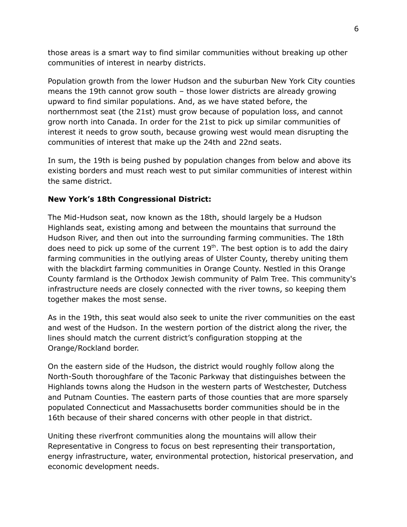those areas is a smart way to find similar communities without breaking up other communities of interest in nearby districts.

Population growth from the lower Hudson and the suburban New York City counties means the 19th cannot grow south – those lower districts are already growing upward to find similar populations. And, as we have stated before, the northernmost seat (the 21st) must grow because of population loss, and cannot grow north into Canada. In order for the 21st to pick up similar communities of interest it needs to grow south, because growing west would mean disrupting the communities of interest that make up the 24th and 22nd seats.

In sum, the 19th is being pushed by population changes from below and above its existing borders and must reach west to put similar communities of interest within the same district.

### **New York's 18th Congressional District:**

The Mid-Hudson seat, now known as the 18th, should largely be a Hudson Highlands seat, existing among and between the mountains that surround the Hudson River, and then out into the surrounding farming communities. The 18th does need to pick up some of the current  $19<sup>th</sup>$ . The best option is to add the dairy farming communities in the outlying areas of Ulster County, thereby uniting them with the blackdirt farming communities in Orange County. Nestled in this Orange County farmland is the Orthodox Jewish community of Palm Tree. This community's infrastructure needs are closely connected with the river towns, so keeping them together makes the most sense.

As in the 19th, this seat would also seek to unite the river communities on the east and west of the Hudson. In the western portion of the district along the river, the lines should match the current district's configuration stopping at the Orange/Rockland border.

On the eastern side of the Hudson, the district would roughly follow along the North-South thoroughfare of the Taconic Parkway that distinguishes between the Highlands towns along the Hudson in the western parts of Westchester, Dutchess and Putnam Counties. The eastern parts of those counties that are more sparsely populated Connecticut and Massachusetts border communities should be in the 16th because of their shared concerns with other people in that district.

Uniting these riverfront communities along the mountains will allow their Representative in Congress to focus on best representing their transportation, energy infrastructure, water, environmental protection, historical preservation, and economic development needs.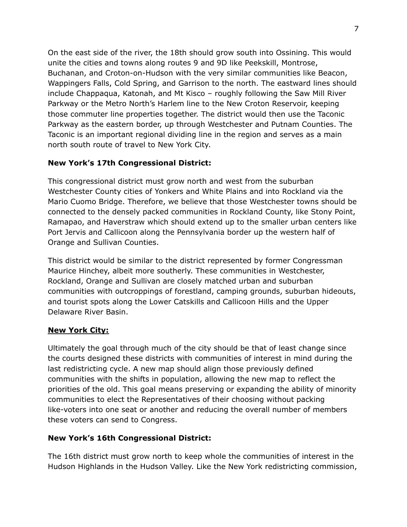On the east side of the river, the 18th should grow south into Ossining. This would unite the cities and towns along routes 9 and 9D like Peekskill, Montrose, Buchanan, and Croton-on-Hudson with the very similar communities like Beacon, Wappingers Falls, Cold Spring, and Garrison to the north. The eastward lines should include Chappaqua, Katonah, and Mt Kisco – roughly following the Saw Mill River Parkway or the Metro North's Harlem line to the New Croton Reservoir, keeping those commuter line properties together. The district would then use the Taconic Parkway as the eastern border, up through Westchester and Putnam Counties. The Taconic is an important regional dividing line in the region and serves as a main north south route of travel to New York City.

### **New York's 17th Congressional District:**

This congressional district must grow north and west from the suburban Westchester County cities of Yonkers and White Plains and into Rockland via the Mario Cuomo Bridge. Therefore, we believe that those Westchester towns should be connected to the densely packed communities in Rockland County, like Stony Point, Ramapao, and Haverstraw which should extend up to the smaller urban centers like Port Jervis and Callicoon along the Pennsylvania border up the western half of Orange and Sullivan Counties.

This district would be similar to the district represented by former Congressman Maurice Hinchey, albeit more southerly. These communities in Westchester, Rockland, Orange and Sullivan are closely matched urban and suburban communities with outcroppings of forestland, camping grounds, suburban hideouts, and tourist spots along the Lower Catskills and Callicoon Hills and the Upper Delaware River Basin.

### **New York City:**

Ultimately the goal through much of the city should be that of least change since the courts designed these districts with communities of interest in mind during the last redistricting cycle. A new map should align those previously defined communities with the shifts in population, allowing the new map to reflect the priorities of the old. This goal means preserving or expanding the ability of minority communities to elect the Representatives of their choosing without packing like-voters into one seat or another and reducing the overall number of members these voters can send to Congress.

### **New York's 16th Congressional District:**

The 16th district must grow north to keep whole the communities of interest in the Hudson Highlands in the Hudson Valley. Like the New York redistricting commission,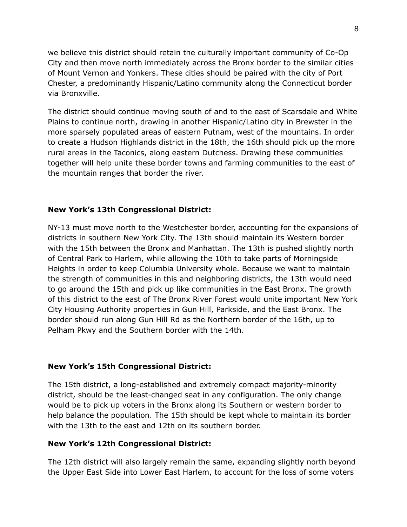we believe this district should retain the culturally important community of Co-Op City and then move north immediately across the Bronx border to the similar cities of Mount Vernon and Yonkers. These cities should be paired with the city of Port Chester, a predominantly Hispanic/Latino community along the Connecticut border via Bronxville.

The district should continue moving south of and to the east of Scarsdale and White Plains to continue north, drawing in another Hispanic/Latino city in Brewster in the more sparsely populated areas of eastern Putnam, west of the mountains. In order to create a Hudson Highlands district in the 18th, the 16th should pick up the more rural areas in the Taconics, along eastern Dutchess. Drawing these communities together will help unite these border towns and farming communities to the east of the mountain ranges that border the river.

#### **New York's 13th Congressional District:**

NY-13 must move north to the Westchester border, accounting for the expansions of districts in southern New York City. The 13th should maintain its Western border with the 15th between the Bronx and Manhattan. The 13th is pushed slightly north of Central Park to Harlem, while allowing the 10th to take parts of Morningside Heights in order to keep Columbia University whole. Because we want to maintain the strength of communities in this and neighboring districts, the 13th would need to go around the 15th and pick up like communities in the East Bronx. The growth of this district to the east of The Bronx River Forest would unite important New York City Housing Authority properties in Gun Hill, Parkside, and the East Bronx. The border should run along Gun Hill Rd as the Northern border of the 16th, up to Pelham Pkwy and the Southern border with the 14th.

#### **New York's 15th Congressional District:**

The 15th district, a long-established and extremely compact majority-minority district, should be the least-changed seat in any configuration. The only change would be to pick up voters in the Bronx along its Southern or western border to help balance the population. The 15th should be kept whole to maintain its border with the 13th to the east and 12th on its southern border.

#### **New York's 12th Congressional District:**

The 12th district will also largely remain the same, expanding slightly north beyond the Upper East Side into Lower East Harlem, to account for the loss of some voters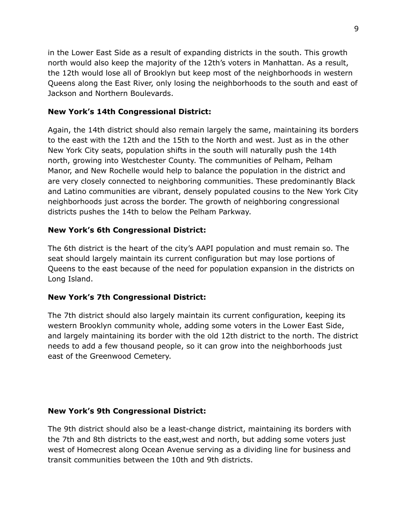in the Lower East Side as a result of expanding districts in the south. This growth north would also keep the majority of the 12th's voters in Manhattan. As a result, the 12th would lose all of Brooklyn but keep most of the neighborhoods in western Queens along the East River, only losing the neighborhoods to the south and east of Jackson and Northern Boulevards.

### **New York's 14th Congressional District:**

Again, the 14th district should also remain largely the same, maintaining its borders to the east with the 12th and the 15th to the North and west. Just as in the other New York City seats, population shifts in the south will naturally push the 14th north, growing into Westchester County. The communities of Pelham, Pelham Manor, and New Rochelle would help to balance the population in the district and are very closely connected to neighboring communities. These predominantly Black and Latino communities are vibrant, densely populated cousins to the New York City neighborhoods just across the border. The growth of neighboring congressional districts pushes the 14th to below the Pelham Parkway.

# **New York's 6th Congressional District:**

The 6th district is the heart of the city's AAPI population and must remain so. The seat should largely maintain its current configuration but may lose portions of Queens to the east because of the need for population expansion in the districts on Long Island.

### **New York's 7th Congressional District:**

The 7th district should also largely maintain its current configuration, keeping its western Brooklyn community whole, adding some voters in the Lower East Side, and largely maintaining its border with the old 12th district to the north. The district needs to add a few thousand people, so it can grow into the neighborhoods just east of the Greenwood Cemetery.

### **New York's 9th Congressional District:**

The 9th district should also be a least-change district, maintaining its borders with the 7th and 8th districts to the east,west and north, but adding some voters just west of Homecrest along Ocean Avenue serving as a dividing line for business and transit communities between the 10th and 9th districts.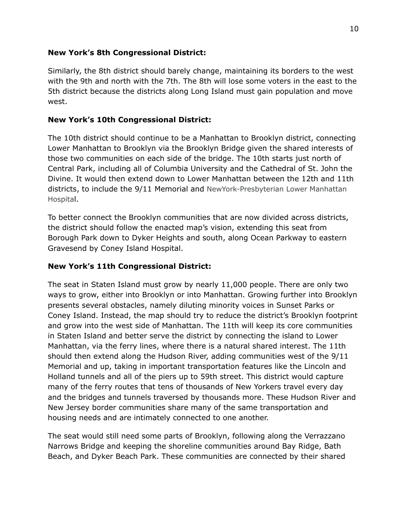#### **New York's 8th Congressional District:**

Similarly, the 8th district should barely change, maintaining its borders to the west with the 9th and north with the 7th. The 8th will lose some voters in the east to the 5th district because the districts along Long Island must gain population and move west.

### **New York's 10th Congressional District:**

The 10th district should continue to be a Manhattan to Brooklyn district, connecting Lower Manhattan to Brooklyn via the Brooklyn Bridge given the shared interests of those two communities on each side of the bridge. The 10th starts just north of Central Park, including all of Columbia University and the Cathedral of St. John the Divine. It would then extend down to Lower Manhattan between the 12th and 11th districts, to include the 9/11 Memorial and NewYork-Presbyterian Lower Manhattan Hospital.

To better connect the Brooklyn communities that are now divided across districts, the district should follow the enacted map's vision, extending this seat from Borough Park down to Dyker Heights and south, along Ocean Parkway to eastern Gravesend by Coney Island Hospital.

### **New York's 11th Congressional District:**

The seat in Staten Island must grow by nearly 11,000 people. There are only two ways to grow, either into Brooklyn or into Manhattan. Growing further into Brooklyn presents several obstacles, namely diluting minority voices in Sunset Parks or Coney Island. Instead, the map should try to reduce the district's Brooklyn footprint and grow into the west side of Manhattan. The 11th will keep its core communities in Staten Island and better serve the district by connecting the island to Lower Manhattan, via the ferry lines, where there is a natural shared interest. The 11th should then extend along the Hudson River, adding communities west of the 9/11 Memorial and up, taking in important transportation features like the Lincoln and Holland tunnels and all of the piers up to 59th street. This district would capture many of the ferry routes that tens of thousands of New Yorkers travel every day and the bridges and tunnels traversed by thousands more. These Hudson River and New Jersey border communities share many of the same transportation and housing needs and are intimately connected to one another.

The seat would still need some parts of Brooklyn, following along the Verrazzano Narrows Bridge and keeping the shoreline communities around Bay Ridge, Bath Beach, and Dyker Beach Park. These communities are connected by their shared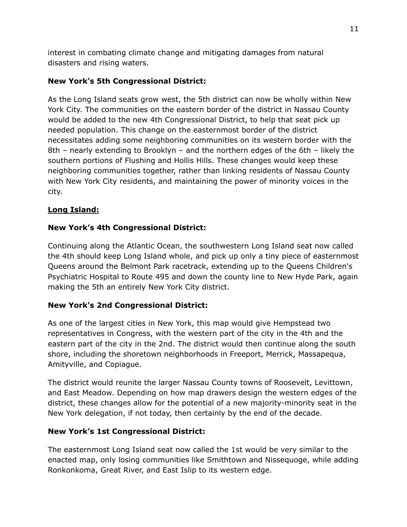interest in combating climate change and mitigating damages from natural disasters and rising waters.

### **New York's 5th Congressional District:**

As the Long Island seats grow west, the 5th district can now be wholly within New York City. The communities on the eastern border of the district in Nassau County would be added to the new 4th Congressional District, to help that seat pick up needed population. This change on the easternmost border of the district necessitates adding some neighboring communities on its western border with the 8th – nearly extending to Brooklyn – and the northern edges of the 6th – likely the southern portions of Flushing and Hollis Hills. These changes would keep these neighboring communities together, rather than linking residents of Nassau County with New York City residents, and maintaining the power of minority voices in the city.

### **Long Island:**

# **New York's 4th Congressional District:**

Continuing along the Atlantic Ocean, the southwestern Long Island seat now called the 4th should keep Long Island whole, and pick up only a tiny piece of easternmost Queens around the Belmont Park racetrack, extending up to the Queens Children's Psychiatric Hospital to Route 495 and down the county line to New Hyde Park, again making the 5th an entirely New York City district.

### **New York's 2nd Congressional District:**

As one of the largest cities in New York, this map would give Hempstead two representatives in Congress, with the western part of the city in the 4th and the eastern part of the city in the 2nd. The district would then continue along the south shore, including the shoretown neighborhoods in Freeport, Merrick, Massapequa, Amityville, and Copiague.

The district would reunite the larger Nassau County towns of Roosevelt, Levittown, and East Meadow. Depending on how map drawers design the western edges of the district, these changes allow for the potential of a new majority-minority seat in the New York delegation, if not today, then certainly by the end of the decade.

### **New York's 1st Congressional District:**

The easternmost Long Island seat now called the 1st would be very similar to the enacted map, only losing communities like Smithtown and Nissequoge, while adding Ronkonkoma, Great River, and East Islip to its western edge.